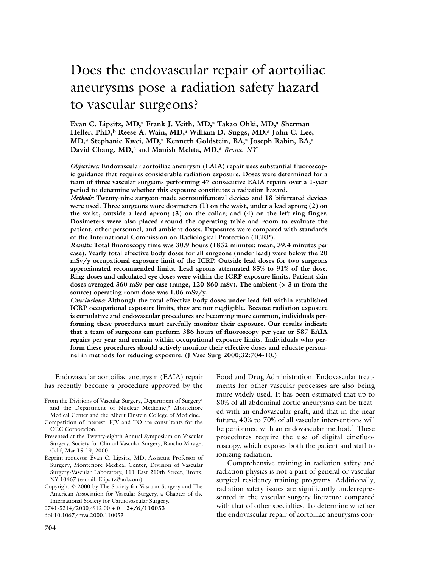# Does the endovascular repair of aortoiliac aneurysms pose a radiation safety hazard to vascular surgeons?

**Evan C. Lipsitz, MD,a Frank J. Veith, MD,a Takao Ohki, MD,a Sherman Heller, PhD,b Reese A. Wain, MD,a William D. Suggs, MD,a John C. Lee, MD,a Stephanie Kwei, MD,a Kenneth Goldstein, BA,a Joseph Rabin, BA,a** David Chang, MD,<sup>a</sup> and Manish Mehta, MD,<sup>a</sup> *Bronx*, NY

*Objectives:* **Endovascular aortoiliac aneurysm (EAIA) repair uses substantial fluoroscopic guidance that requires considerable radiation exposure. Doses were determined for a team of three vascular surgeons performing 47 consecutive EAIA repairs over a 1-year period to determine whether this exposure constitutes a radiation hazard.**

*Methods:* **Twenty-nine surgeon-made aortounifemoral devices and 18 bifurcated devices were used. Three surgeons wore dosimeters (1) on the waist, under a lead apron; (2) on the waist, outside a lead apron; (3) on the collar; and (4) on the left ring finger. Dosimeters were also placed around the operating table and room to evaluate the patient, other personnel, and ambient doses. Exposures were compared with standards of the International Commission on Radiological Protection (ICRP).**

*Results:* **Total fluoroscopy time was 30.9 hours (1852 minutes; mean, 39.4 minutes per case). Yearly total effective body doses for all surgeons (under lead) were below the 20 mSv/y occupational exposure limit of the ICRP. Outside lead doses for two surgeons approximated recommended limits. Lead aprons attenuated 85% to 91% of the dose. Ring doses and calculated eye doses were within the ICRP exposure limits. Patient skin doses averaged 360 mSv per case (range, 120-860 mSv). The ambient (> 3 m from the source) operating room dose was 1.06 mSv/y.**

*Conclusions:* **Although the total effective body doses under lead fell within established ICRP occupational exposure limits, they are not negligible. Because radiation exposure is cumulative and endovascular procedures are becoming more common, individuals performing these procedures must carefully monitor their exposure. Our results indicate that a team of surgeons can perform 386 hours of fluoroscopy per year or 587 EAIA repairs per year and remain within occupational exposure limits. Individuals who perform these procedures should actively monitor their effective doses and educate personnel in methods for reducing exposure. (J Vasc Surg 2000;32:704-10.)**

Endovascular aortoiliac aneurysm (EAIA) repair has recently become a procedure approved by the

- From the Divisions of Vascular Surgery, Department of Surgerya and the Department of Nuclear Medicine,<sup>b</sup> Montefiore Medical Center and the Albert Einstein College of Medicine.
- Competition of interest: FJV and TO are consultants for the OEC Corporation.
- Presented at the Twenty-eighth Annual Symposium on Vascular Surgery, Society for Clinical Vascular Surgery, Rancho Mirage, Calif, Mar 15-19, 2000.
- Reprint requests: Evan C. Lipsitz, MD, Assistant Professor of Surgery, Montefiore Medical Center, Division of Vascular Surgery-Vascular Laboratory, 111 East 210th Street, Bronx, NY 10467 (e-mail: Elipsitz@aol.com).
- Copyright © 2000 by The Society for Vascular Surgery and The American Association for Vascular Surgery, a Chapter of the International Society for Cardiovascular Surgery.

0741-5214/2000/\$12.00 + 0 **24/6/110053**

doi:10.1067/mva.2000.110053

Food and Drug Administration. Endovascular treatments for other vascular processes are also being more widely used. It has been estimated that up to 80% of all abdominal aortic aneurysms can be treated with an endovascular graft, and that in the near future, 40% to 70% of all vascular interventions will be performed with an endovascular method.<sup>1</sup> These procedures require the use of digital cinefluoroscopy, which exposes both the patient and staff to ionizing radiation.

Comprehensive training in radiation safety and radiation physics is not a part of general or vascular surgical residency training programs. Additionally, radiation safety issues are significantly underrepresented in the vascular surgery literature compared with that of other specialties. To determine whether the endovascular repair of aortoiliac aneurysms con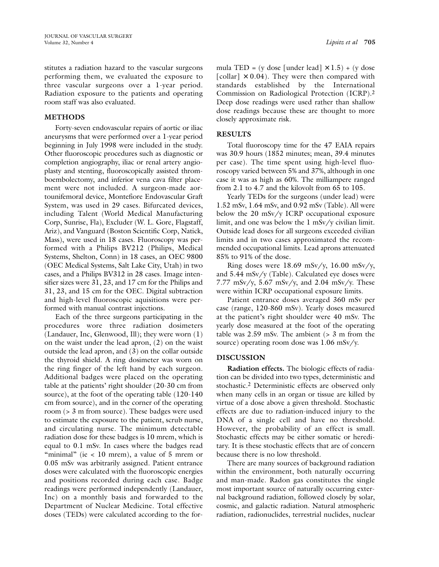stitutes a radiation hazard to the vascular surgeons performing them, we evaluated the exposure to three vascular surgeons over a 1-year period. Radiation exposure to the patients and operating room staff was also evaluated.

## **METHODS**

Forty-seven endovascular repairs of aortic or iliac aneurysms that were performed over a 1-year period beginning in July 1998 were included in the study. Other fluoroscopic procedures such as diagnostic or completion angiography, iliac or renal artery angioplasty and stenting, fluoroscopically assisted thromboembolectomy, and inferior vena cava filter placement were not included. A surgeon-made aortounifemoral device, Montefiore Endovascular Graft System, was used in 29 cases. Bifurcated devices, including Talent (World Medical Manufacturing Corp, Sunrise, Fla), Excluder (W. L. Gore, Flagstaff, Ariz), and Vanguard (Boston Scientific Corp, Natick, Mass), were used in 18 cases. Fluoroscopy was performed with a Philips BV212 (Philips, Medical Systems, Shelton, Conn) in 18 cases, an OEC 9800 (OEC Medical Systems, Salt Lake City, Utah) in two cases, and a Philips BV312 in 28 cases. Image intensifier sizes were 31, 23, and 17 cm for the Philips and 31, 23, and 15 cm for the OEC. Digital subtraction and high-level fluoroscopic aquisitions were performed with manual contrast injections.

Each of the three surgeons participating in the procedures wore three radiation dosimeters (Landauer, Inc, Glenwood, Ill); they were worn (1) on the waist under the lead apron, (2) on the waist outside the lead apron, and (3) on the collar outside the thyroid shield. A ring dosimeter was worn on the ring finger of the left hand by each surgeon. Additional badges were placed on the operating table at the patients' right shoulder (20-30 cm from source), at the foot of the operating table (120-140 cm from source), and in the corner of the operating room (> 3 m from source). These badges were used to estimate the exposure to the patient, scrub nurse, and circulating nurse. The minimum detectable radiation dose for these badges is 10 mrem, which is equal to 0.1 mSv. In cases where the badges read "minimal" (ie < 10 mrem), a value of 5 mrem or 0.05 mSv was arbitrarily assigned. Patient entrance doses were calculated with the fluoroscopic energies and positions recorded during each case. Badge readings were performed independently (Landauer, Inc) on a monthly basis and forwarded to the Department of Nuclear Medicine. Total effective doses (TEDs) were calculated according to the formula TED = (y dose [under lead]  $\times$  1.5) + (y dose [collar]  $\times$  0.04). They were then compared with standards established by the International Commission on Radiological Protection (ICRP).2 Deep dose readings were used rather than shallow dose readings because these are thought to more closely approximate risk.

## **RESULTS**

Total fluoroscopy time for the 47 EAIA repairs was 30.9 hours (1852 minutes; mean, 39.4 minutes per case). The time spent using high-level fluoroscopy varied between 5% and 37%, although in one case it was as high as 60%. The milliampere ranged from 2.1 to 4.7 and the kilovolt from 65 to 105.

Yearly TEDs for the surgeons (under lead) were 1.52 mSv, 1.64 mSv, and 0.92 mSv (Table). All were below the 20 mSv/y ICRP occupational exposure limit, and one was below the 1 mSv/y civilian limit. Outside lead doses for all surgeons exceeded civilian limits and in two cases approximated the recommended occupational limits. Lead aprons attenuated 85% to 91% of the dose.

Ring doses were  $18.69$  mSv/y,  $16.00$  mSv/y, and 5.44 mSv/y (Table). Calculated eye doses were 7.77 mSv/y, 5.67 mSv/y, and 2.04 mSv/y. These were within ICRP occupational exposure limits.

Patient entrance doses averaged 360 mSv per case (range, 120-860 mSv). Yearly doses measured at the patient's right shoulder were 40 mSv. The yearly dose measured at the foot of the operating table was 2.59 mSv. The ambient (> 3 m from the source) operating room dose was 1.06 mSv/y.

#### **DISCUSSION**

**Radiation effects.** The biologic effects of radiation can be divided into two types, deterministic and stochastic.2 Deterministic effects are observed only when many cells in an organ or tissue are killed by virtue of a dose above a given threshold. Stochastic effects are due to radiation-induced injury to the DNA of a single cell and have no threshold. However, the probability of an effect is small. Stochastic effects may be either somatic or hereditary. It is these stochastic effects that are of concern because there is no low threshold.

There are many sources of background radiation within the environment, both naturally occurring and man-made. Radon gas constitutes the single most important source of naturally occurring external background radiation, followed closely by solar, cosmic, and galactic radiation. Natural atmospheric radiation, radionuclides, terrestrial nuclides, nuclear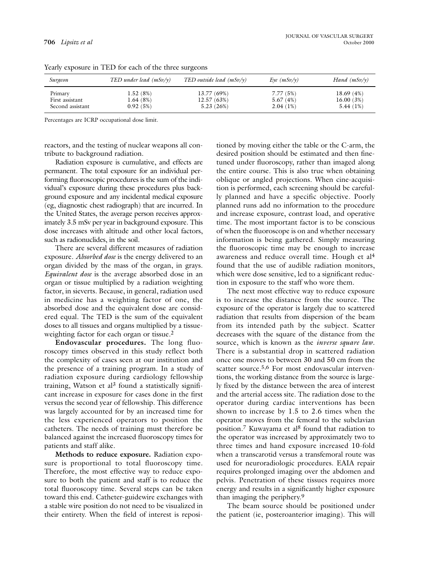| Surgeon          | TED under lead $(mSv/v)$ | TED outside lead $(mSv/v)$ | $Eye$ $(mSv/v)$ | Hand $(mSv/v)$ |
|------------------|--------------------------|----------------------------|-----------------|----------------|
| Primary          | 1.52(8%)                 | 13.77 (69%)                | 7.77(5%)        | 18.69(4%)      |
| First assistant  | 1.64(8%)                 | 12.57(63%)                 | 5.67(4%)        | 16.00(3%)      |
| Second assistant | 0.92(5%)                 | 5.23(26%)                  | $2.04(1\%)$     | 5.44(1%)       |

Yearly exposure in TED for each of the three surgeons

Percentages are ICRP occupational dose limit.

reactors, and the testing of nuclear weapons all contribute to background radiation.

Radiation exposure is cumulative, and effects are permanent. The total exposure for an individual performing fluoroscopic procedures is the sum of the individual's exposure during these procedures plus background exposure and any incidental medical exposure (eg, diagnostic chest radiograph) that are incurred. In the United States, the average person receives approximately 3.5 mSv per year in background exposure. This dose increases with altitude and other local factors, such as radionuclides, in the soil.

There are several different measures of radiation exposure. *Absorbed dose* is the energy delivered to an organ divided by the mass of the organ, in grays. *Equivalent dose* is the average absorbed dose in an organ or tissue multiplied by a radiation weighting factor, in sieverts. Because, in general, radiation used in medicine has a weighting factor of one, the absorbed dose and the equivalent dose are considered equal. The TED is the sum of the equivalent doses to all tissues and organs multiplied by a tissueweighting factor for each organ or tissue.<sup>2</sup>

**Endovascular procedures.** The long fluoroscopy times observed in this study reflect both the complexity of cases seen at our institution and the presence of a training program. In a study of radiation exposure during cardiology fellowship training, Watson et al<sup>3</sup> found a statistically significant increase in exposure for cases done in the first versus the second year of fellowship. This difference was largely accounted for by an increased time for the less experienced operators to position the catheters. The needs of training must therefore be balanced against the increased fluoroscopy times for patients and staff alike.

**Methods to reduce exposure.** Radiation exposure is proportional to total fluoroscopy time. Therefore, the most effective way to reduce exposure to both the patient and staff is to reduce the total fluoroscopy time. Several steps can be taken toward this end. Catheter-guidewire exchanges with a stable wire position do not need to be visualized in their entirety. When the field of interest is repositioned by moving either the table or the C-arm, the desired position should be estimated and then finetuned under fluoroscopy, rather than imaged along the entire course. This is also true when obtaining oblique or angled projections. When cine-acquisition is performed, each screening should be carefully planned and have a specific objective. Poorly planned runs add no information to the procedure and increase exposure, contrast load, and operative time. The most important factor is to be conscious of when the fluoroscope is on and whether necessary information is being gathered. Simply measuring the fluoroscopic time may be enough to increase awareness and reduce overall time. Hough et al4 found that the use of audible radiation monitors, which were dose sensitive, led to a significant reduction in exposure to the staff who wore them.

The next most effective way to reduce exposure is to increase the distance from the source. The exposure of the operator is largely due to scattered radiation that results from dispersion of the beam from its intended path by the subject. Scatter decreases with the square of the distance from the source, which is known as the *inverse square law*. There is a substantial drop in scattered radiation once one moves to between 30 and 50 cm from the scatter source.5,6 For most endovascular interventions, the working distance from the source is largely fixed by the distance between the area of interest and the arterial access site. The radiation dose to the operator during cardiac interventions has been shown to increase by 1.5 to 2.6 times when the operator moves from the femoral to the subclavian position.7 Kuwayama et al8 found that radiation to the operator was increased by approximately two to three times and hand exposure increased 10-fold when a transcarotid versus a transfemoral route was used for neuroradiologic procedures. EAIA repair requires prolonged imaging over the abdomen and pelvis. Penetration of these tissues requires more energy and results in a significantly higher exposure than imaging the periphery.9

The beam source should be positioned under the patient (ie, posteroanterior imaging). This will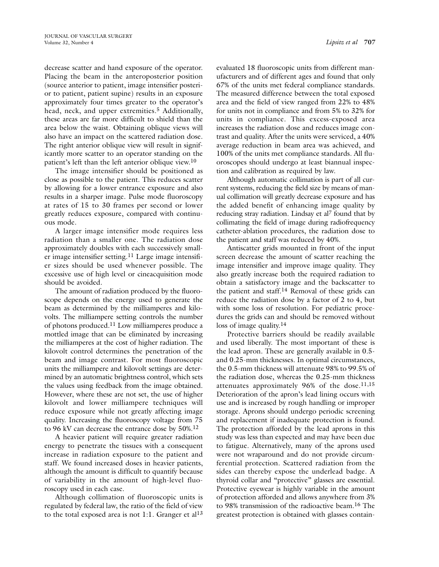decrease scatter and hand exposure of the operator. Placing the beam in the anteroposterior position (source anterior to patient, image intensifier posterior to patient, patient supine) results in an exposure approximately four times greater to the operator's head, neck, and upper extremities.<sup>5</sup> Additionally, these areas are far more difficult to shield than the area below the waist. Obtaining oblique views will also have an impact on the scattered radiation dose. The right anterior oblique view will result in significantly more scatter to an operator standing on the patient's left than the left anterior oblique view.10

The image intensifier should be positioned as close as possible to the patient. This reduces scatter by allowing for a lower entrance exposure and also results in a sharper image. Pulse mode fluoroscopy at rates of 15 to 30 frames per second or lower greatly reduces exposure, compared with continuous mode.

A larger image intensifier mode requires less radiation than a smaller one. The radiation dose approximately doubles with each successively smaller image intensifier setting.11 Large image intensifier sizes should be used whenever possible. The excessive use of high level or cineacquisition mode should be avoided.

The amount of radiation produced by the fluoroscope depends on the energy used to generate the beam as determined by the milliamperes and kilovolts. The milliampere setting controls the number of photons produced.11 Low milliamperes produce a mottled image that can be eliminated by increasing the milliamperes at the cost of higher radiation. The kilovolt control determines the penetration of the beam and image contrast. For most fluoroscopic units the milliampere and kilovolt settings are determined by an automatic brightness control, which sets the values using feedback from the image obtained. However, where these are not set, the use of higher kilovolt and lower milliampere techniques will reduce exposure while not greatly affecting image quality. Increasing the fluoroscopy voltage from 75 to 96 kV can decrease the entrance dose by 50%.12

A heavier patient will require greater radiation energy to penetrate the tissues with a consequent increase in radiation exposure to the patient and staff. We found increased doses in heavier patients, although the amount is difficult to quantify because of variability in the amount of high-level fluoroscopy used in each case.

Although collimation of fluoroscopic units is regulated by federal law, the ratio of the field of view to the total exposed area is not 1:1. Granger et al<sup>13</sup> evaluated 18 fluoroscopic units from different manufacturers and of different ages and found that only 67% of the units met federal compliance standards. The measured difference between the total exposed area and the field of view ranged from 22% to 48% for units not in compliance and from 5% to 32% for units in compliance. This excess-exposed area increases the radiation dose and reduces image contrast and quality. After the units were serviced, a 40% average reduction in beam area was achieved, and 100% of the units met compliance standards. All fluoroscopes should undergo at least biannual inspection and calibration as required by law.

Although automatic collimation is part of all current systems, reducing the field size by means of manual collimation will greatly decrease exposure and has the added benefit of enhancing image quality by reducing stray radiation. Lindsay et al<sup>7</sup> found that by collimating the field of image during radiofrequency catheter-ablation procedures, the radiation dose to the patient and staff was reduced by 40%.

Antiscatter grids mounted in front of the input screen decrease the amount of scatter reaching the image intensifier and improve image quality. They also greatly increase both the required radiation to obtain a satisfactory image and the backscatter to the patient and staff.14 Removal of these grids can reduce the radiation dose by a factor of 2 to 4, but with some loss of resolution. For pediatric procedures the grids can and should be removed without loss of image quality.<sup>14</sup>

Protective barriers should be readily available and used liberally. The most important of these is the lead apron. These are generally available in 0.5 and 0.25-mm thicknesses. In optimal circumstances, the 0.5-mm thickness will attenuate 98% to 99.5% of the radiation dose, whereas the 0.25-mm thickness attenuates approximately 96% of the dose.11,15 Deterioration of the apron's lead lining occurs with use and is increased by rough handling or improper storage. Aprons should undergo periodic screening and replacement if inadequate protection is found. The protection afforded by the lead aprons in this study was less than expected and may have been due to fatigue. Alternatively, many of the aprons used were not wraparound and do not provide circumferential protection. Scattered radiation from the sides can thereby expose the underlead badge. A thyroid collar and "protective" glasses are essential. Protective eyewear is highly variable in the amount of protection afforded and allows anywhere from 3% to 98% transmission of the radioactive beam.16 The greatest protection is obtained with glasses contain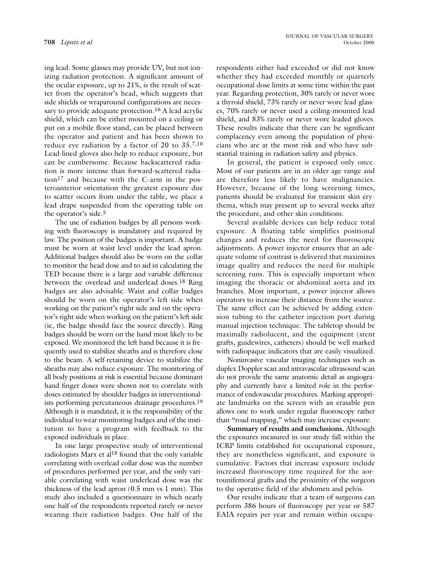ing lead. Some glasses may provide UV, but not ionizing radiation protection. A significant amount of the ocular exposure, up to 21%, is the result of scatter from the operator's head, which suggests that side shields or wraparound configurations are necessary to provide adequate protection.<sup>16</sup> A lead acrylic shield, which can be either mounted on a ceiling or put on a mobile floor stand, can be placed between the operator and patient and has been shown to reduce eye radiation by a factor of 20 to 35.7,10 Lead-lined gloves also help to reduce exposure, but can be cumbersome. Because backscattered radiation is more intense than forward-scattered radiation17 and because with the C-arm in the posteroanterior orientation the greatest exposure due to scatter occurs from under the table, we place a lead drape suspended from the operating table on the operator's side.5

The use of radiation badges by all persons working with fluoroscopy is mandatory and required by law. The position of the badges is important. A badge must be worn at waist level under the lead apron. Additional badges should also be worn on the collar to monitor the head dose and to aid in calculating the TED because there is a large and variable difference between the overlead and underlead doses.18 Ring badges are also advisable. Waist and collar badges should be worn on the operator's left side when working on the patient's right side and on the operator's right side when working on the patient's left side (ie, the badge should face the source directly). Ring badges should be worn on the hand most likely to be exposed. We monitored the left hand because it is frequently used to stabilize sheaths and is therefore close to the beam. A self-retaining device to stabilize the sheaths may also reduce exposure. The monitoring of all body positions at risk is essential because dominant hand finger doses were shown not to correlate with doses estimated by shoulder badges in interventionalists performing percutaneous drainage procedures.19 Although it is mandated, it is the responsibility of the individual to wear monitoring badges and of the institution to have a program with feedback to the exposed individuals in place.

In one large prospective study of interventional radiologists Marx et al<sup>18</sup> found that the only variable correlating with overlead collar dose was the number of procedures performed per year, and the only variable correlating with waist underlead dose was the thickness of the lead apron (0.5 mm vs 1 mm). This study also included a questionnaire in which nearly one half of the respondents reported rarely or never wearing their radiation badges. One half of the

respondents either had exceeded or did not know whether they had exceeded monthly or quarterly occupational dose limits at some time within the past year. Regarding protection, 30% rarely or never wore a thyroid shield, 73% rarely or never wore lead glasses, 70% rarely or never used a ceiling-mounted lead shield, and 83% rarely or never wore leaded gloves. These results indicate that there can be significant complacency even among the population of physicians who are at the most risk and who have substantial training in radiation safety and physics.

In general, the patient is exposed only once. Most of our patients are in an older age range and are therefore less likely to have malignancies. However, because of the long screening times, patients should be evaluated for transient skin erythema, which may present up to several weeks after the procedure, and other skin conditions.

Several available devices can help reduce total exposure. A floating table simplifies positional changes and reduces the need for fluoroscopic adjustments. A power injector ensures that an adequate volume of contrast is delivered that maximizes image quality and reduces the need for multiple screening runs. This is especially important when imaging the thoracic or abdominal aorta and its branches. Most important, a power injector allows operators to increase their distance from the source. The same effect can be achieved by adding extension tubing to the catheter injection port during manual injection technique. The tabletop should be maximally radiolucent, and the equipment (stent grafts, guidewires, catheters) should be well marked with radiopaque indicators that are easily visualized.

Noninvasive vascular imaging techniques such as duplex Doppler scan and intravascular ultrasound scan do not provide the same anatomic detail as angiography and currently have a limited role in the performance of endovascular procedures. Marking appropriate landmarks on the screen with an erasable pen allows one to work under regular fluoroscopy rather than "road mapping," which may increase exposure.

**Summary of results and conclusions.** Although the exposures measured in our study fall within the ICRP limits established for occupational exposure, they are nonetheless significant, and exposure is cumulative. Factors that increase exposure include increased fluoroscopy time required for the aortounifemoral grafts and the proximity of the surgeon to the operative field of the abdomen and pelvis.

Our results indicate that a team of surgeons can perform 386 hours of fluoroscopy per year or 587 EAIA repairs per year and remain within occupa-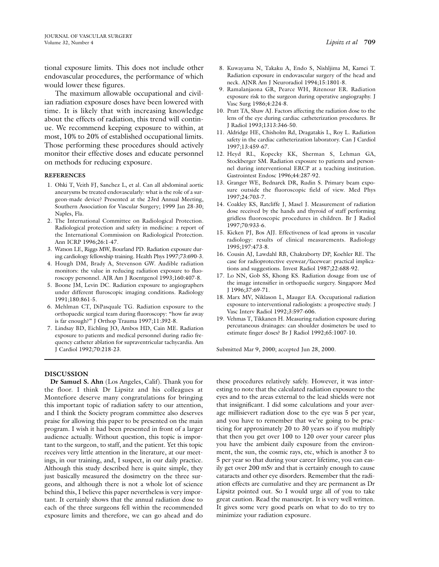tional exposure limits. This does not include other endovascular procedures, the performance of which would lower these figures.

The maximum allowable occupational and civilian radiation exposure doses have been lowered with time. It is likely that with increasing knowledge about the effects of radiation, this trend will continue. We recommend keeping exposure to within, at most, 10% to 20% of established occupational limits. Those performing these procedures should actively monitor their effective doses and educate personnel on methods for reducing exposure.

#### **REFERENCES**

- 1. Ohki T, Veith FJ, Sanchez L, et al. Can all abdominal aortic aneurysms be treated endovascularly: what is the role of a surgeon-made device? Presented at the 23rd Annual Meeting, Southern Association for Vascular Surgery; 1999 Jan 28-30; Naples, Fla.
- 2. The International Committee on Radiological Protection. Radiological protection and safety in medicine: a report of the International Commission on Radiological Protection. Ann ICRP 1996;26:1-47.
- 3. Watson LE, Riggs MW, Bourland PD. Radiation exposure during cardiology fellowship training. Health Phys 1997;73:690-3.
- 4. Hough DM, Brady A, Stevenson GW. Audible radiation monitors: the value in reducing radiation exposure to fluoroscopy personnel. AJR Am J Roentgenol 1993;160:407-8.
- 5. Boone JM, Levin DC. Radiation exposure to angiographers under different fluroscopic imaging conditions. Radiology 1991;180:861-5.
- 6. Mehlman CT, DiPasquale TG. Radiation exposure to the orthopaedic surgical team during fluoroscopy: "how far away is far enough?" J Orthop Trauma 1997;11:392-8.
- 7. Lindsay BD, Eichling JO, Ambos HD, Cain ME. Radiation exposure to patients and medical personnel during radio frequency catheter ablation for supraventricular tachycardia. Am J Cardiol 1992;70:218-23.
- 8. Kuwayama N, Takaku A, Endo S, Nishljima M, Kamei T. Radiation exposure in endovascular surgery of the head and neck. AJNR Am J Neuroradiol 1994;15:1801-8.
- 9. Ramalanjaona GR, Pearce WH, Ritenour ER. Radiation exposure risk to the surgeon during operative angiography. J Vasc Surg 1986;4:224-8.
- 10. Pratt TA, Shaw AJ. Factors affecting the radiation dose to the lens of the eye during cardiac catheterization procedures. Br J Radiol 1993;1313:346-50.
- 11. Aldridge HE, Chisholm Rd, Dragatakis L, Roy L. Radiation safety in the cardiac catheterization laboratory. Can J Cardiol 1997;13:459-67.
- 12. Heyd RL, Kopecky KK, Sherman S, Lehman GA, Stockberger SM. Radiation exposure to patients and personnel during interventional ERCP at a teaching institution. Gastrointest Endosc 1996;44:287-92.
- 13. Granger WE, Bednarek DR, Rudin S. Primary beam exposure outside the fluoroscopic field of view. Med Phys 1997;24:703-7.
- 14. Coakley KS, Ratcliffe J, Masel J. Measurement of radiation dose received by the hands and thyroid of staff performing gridless fluoroscopic procedures in children. Br J Radiol 1997;70:933-6.
- 15. Kicken PJ, Bos AJJ. Effectiveness of lead aprons in vascular radiology: results of clinical measurements. Radiology 1995;197:473-8.
- 16. Cousin AJ, Lawdahl RB, Chakraborty DP, Koehler RE. The case for radioprotective eyewear/facewear: practical implications and suggestions. Invest Radiol 1987;22:688-92.
- 17. Lo NN, Gob SS, Khong KS. Radiation dosage from use of the image intensifier in orthopaedic surgery. Singapore Med J 1996;37:69-71.
- 18. Marx MV, Niklason L, Mauger EA. Occupational radiation exposure to interventional radiologists: a prospective study. J Vasc Interv Radiol 1992;3:597-606.
- 19. Vehmas T, Tikkanen H. Measuring radiation exposure during percutaneous drainages: can shoulder dosimeters be used to estimate finger doses? Br J Radiol 1992;65:1007-10.

Submitted Mar 9, 2000; accepted Jun 28, 2000.

#### **DISCUSSION**

**Dr Samuel S. Ahn** (Los Angeles, Calif). Thank you for the floor. I think Dr Lipsitz and his colleagues at Montefiore deserve many congratulations for bringing this important topic of radiation safety to our attention, and I think the Society program committee also deserves praise for allowing this paper to be presented on the main program. I wish it had been presented in front of a larger audience actually. Without question, this topic is important to the surgeon, to staff, and the patient. Yet this topic receives very little attention in the literature, at our meetings, in our training, and, I suspect, in our daily practice. Although this study described here is quite simple, they just basically measured the dosimetry on the three surgeons, and although there is not a whole lot of science behind this, I believe this paper nevertheless is very important. It certainly shows that the annual radiation dose to each of the three surgeons fell within the recommended exposure limits and therefore, we can go ahead and do

these procedures relatively safely. However, it was interesting to note that the calculated radiation exposure to the eyes and to the areas external to the lead shields were not that insignificant. I did some calculations and your average millisievert radiation dose to the eye was 5 per year, and you have to remember that we're going to be practicing for approximately 20 to 30 years so if you multiply that then you get over 100 to 120 over your career plus you have the ambient daily exposure from the environment, the sun, the cosmic rays, etc, which is another 3 to 5 per year so that during your career lifetime, you can easily get over 200 mSv and that is certainly enough to cause cataracts and other eye disorders. Remember that the radiation effects are cumulative and they are permanent as Dr Lipsitz pointed out. So I would urge all of you to take great caution. Read the manuscript. It is very well written. It gives some very good pearls on what to do to try to minimize your radiation exposure.